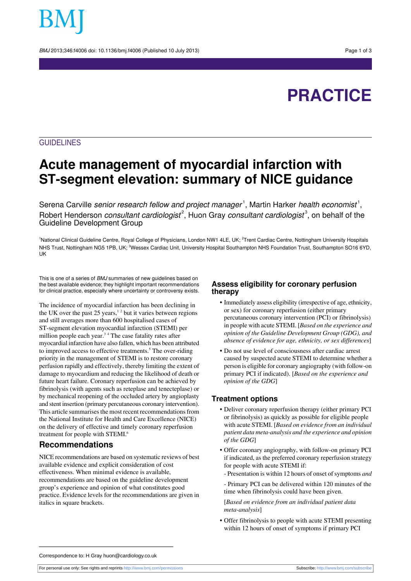BMJ 2013;346:f4006 doi: 10.1136/bmj.f4006 (Published 10 July 2013) Page 1 of 3

# **PRACTICE**

## GUIDELINES

## **Acute management of myocardial infarction with ST-segment elevation: summary of NICE guidance**

Serena Carville *senior research fellow and project manager*  $^1$ , Martin Harker *health economist*  $^1$ , Robert Henderson *consultant cardiologist<sup>2</sup>*, Huon Gray *consultant cardiologist*<sup>3</sup>, on behalf of the Guideline Development Group

<sup>1</sup>National Clinical Guideline Centre, Royal College of Physicians, London NW1 4LE, UK; <sup>2</sup>Trent Cardiac Centre, Nottingham University Hospitals NHS Trust, Nottingham NG5 1PB, UK; <sup>3</sup>Wessex Cardiac Unit, University Hospital Southampton NHS Foundation Trust, Southampton SO16 6YD, UK

This is one of a series of BMJ summaries of new guidelines based on the best available evidence; they highlight important recommendations for clinical practice, especially where uncertainty or controversy exists.

The incidence of myocardial infarction has been declining in the UK over the past 25 years, $1<sup>2</sup>$  but it varies between regions and still averages more than 600 hospitalised cases of ST-segment elevation myocardial infarction (STEMI) per million people each year.<sup>34</sup> The case fatality rates after myocardial infarction have also fallen, which has been attributed to improved access to effective treatments.<sup>5</sup> The over-riding priority in the management of STEMI is to restore coronary perfusion rapidly and effectively, thereby limiting the extent of damage to myocardium and reducing the likelihood of death or future heart failure. Coronary reperfusion can be achieved by fibrinolysis (with agents such as reteplase and tenecteplase) or by mechanical reopening of the occluded artery by angioplasty and stent insertion (primary percutaneous coronary intervention). This article summarises the most recent recommendations from the National Institute for Health and Care Excellence (NICE) on the delivery of effective and timely coronary reperfusion treatment for people with STEMI.<sup>6</sup>

### **Recommendations**

NICE recommendations are based on systematic reviews of best available evidence and explicit consideration of cost effectiveness. When minimal evidence is available, recommendations are based on the guideline development group's experience and opinion of what constitutes good practice. Evidence levels for the recommendations are given in italics in square brackets.

## **Assess eligibility for coronary perfusion therapy**

- **•** Immediately assess eligibility (irrespective of age, ethnicity, or sex) for coronary reperfusion (either primary percutaneous coronary intervention (PCI) or fibrinolysis) in people with acute STEMI. [*Based on the experience and opinion of the Guideline Development Group (GDG), and absence of evidence for age, ethnicity, or sex differences*]
- **•** Do not use level of consciousness after cardiac arrest caused by suspected acute STEMI to determine whether a person is eligible for coronary angiography (with follow-on primary PCI if indicated). [*Based on the experience and opinion of the GDG*]

#### **Treatment options**

- **•** Deliver coronary reperfusion therapy (either primary PCI or fibrinolysis) as quickly as possible for eligible people with acute STEMI. [*Based on evidence from an individual patient data meta-analysis and the experience and opinion of the GDG*]
- **•** Offer coronary angiography, with follow-on primary PCI if indicated, as the preferred coronary reperfusion strategy for people with acute STEMI if:
	- Presentation is within 12 hours of onset of symptoms *and*
- Primary PCI can be delivered within 120 minutes of the time when fibrinolysis could have been given.

[*Based on evidence from an individual patient data meta-analysis*]

**•** Offer fibrinolysis to people with acute STEMI presenting within 12 hours of onset of symptoms if primary PCI

#### Correspondence to: H Gray huon@cardiology.co.uk

For personal use only: See rights and reprints<http://www.bmj.com/permissions> Subscribe: <http://www.bmj.com/subscribe>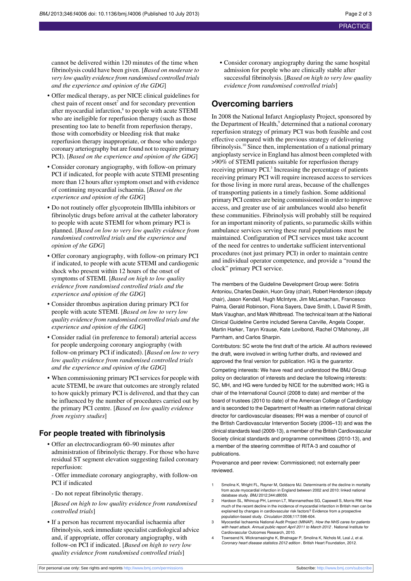cannot be delivered within 120 minutes of the time when fibrinolysis could have been given. [*Based on moderate to very low quality evidence from randomised controlled trials and the experience and opinion of the GDG*]

- **•** Offer medical therapy, as per NICE clinical guidelines for chest pain of recent onset<sup>7</sup> and for secondary prevention after myocardial infarction,<sup>8</sup> to people with acute STEMI who are ineligible for reperfusion therapy (such as those presenting too late to benefit from reperfusion therapy, those with comorbidity or bleeding risk that make reperfusion therapy inappropriate, or those who undergo coronary arteriography but are found not to require primary PCI). [*Based on the experience and opinion of the GDG*]
- **•** Consider coronary angiography, with follow-on primary PCI if indicated, for people with acute STEMI presenting more than 12 hours after symptom onset and with evidence of continuing myocardial ischaemia. [*Based on the experience and opinion of the GDG*]
- **•** Do not routinely offer glycoprotein IIb/IIIa inhibitors or fibrinolytic drugs before arrival at the catheter laboratory to people with acute STEMI for whom primary PCI is planned. [*Based on low to very low quality evidence from randomised controlled trials and the experience and opinion of the GDG*]
- **•** Offer coronary angiography, with follow-on primary PCI if indicated, to people with acute STEMI and cardiogenic shock who present within 12 hours of the onset of symptoms of STEMI. [*Based on high to low quality evidence from randomised controlled trials and the experience and opinion of the GDG*]
- **•** Consider thrombus aspiration during primary PCI for people with acute STEMI. [*Based on low to very low quality evidence from randomised controlled trials and the experience and opinion of the GDG*]
- **•** Consider radial (in preference to femoral) arterial access for people undergoing coronary angiography (with follow-on primary PCI if indicated). [*Based on low to very low quality evidence from randomised controlled trials and the experience and opinion of the GDG*]
- When commissioning primary PCI services for people with acute STEMI, be aware that outcomes are strongly related to how quickly primary PCI is delivered, and that they can be influenced by the number of procedures carried out by the primary PCI centre. [*Based on low quality evidence from registry studies*]

## **For people treated with fibrinolysis**

**•** Offer an electrocardiogram 60–90 minutes after administration of fibrinolytic therapy. For those who have residual ST segment elevation suggesting failed coronary reperfusion:

- Offer immediate coronary angiography, with follow-on PCI if indicated

- Do not repeat fibrinolytic therapy.

[*Based on high to low quality evidence from randomised controlled trials*]

**•** If a person has recurrent myocardial ischaemia after fibrinolysis, seek immediate specialist cardiological advice and, if appropriate, offer coronary angiography, with follow-on PCI if indicated. [*Based on high to very low quality evidence from randomised controlled trials*]

**•** Consider coronary angiography during the same hospital admission for people who are clinically stable after successful fibrinolysis. [*Based on high to very low quality evidence from randomised controlled trials*]

## **Overcoming barriers**

In 2008 the National Infarct Angioplasty Project, sponsored by the Department of Health,<sup>9</sup> determined that a national coronary reperfusion strategy of primary PCI was both feasible and cost effective compared with the previous strategy of delivering fibrinolysis.<sup>10</sup> Since then, implementation of a national primary angioplasty service in England has almost been completed with >90% of STEMI patients suitable for reperfusion therapy receiving primary PCI.<sup>3</sup> Increasing the percentage of patients receiving primary PCI will require increased access to services for those living in more rural areas, because of the challenges of transporting patients in a timely fashion. Some additional primary PCI centres are being commissioned in order to improve access, and greater use of air ambulances would also benefit these communities. Fibrinolysis will probably still be required for an important minority of patients, so paramedic skills within ambulance services serving these rural populations must be maintained. Configuration of PCI services must take account of the need for centres to undertake sufficient interventional procedures (not just primary PCI) in order to maintain centre and individual operator competence, and provide a "round the clock" primary PCI service.

The members of the Guideline Development Group were: Sotiris Antoniou, Charles Deakin, Huon Gray (chair), Robert Henderson (deputy chair), Jason Kendall, Hugh McIntyre, Jim McLenachan, Francesco Palma, Gerald Robinson, Fiona Sayers, Dave Smith, L David R Smith, Mark Vaughan, and Mark Whitbread. The technical team at the National Clinical Guideline Centre included Serena Carville, Angela Cooper, Martin Harker, Taryn Krause, Kate Lovibond, Rachel O'Mahoney, Jill Parnham, and Carlos Sharpin.

Contributors: SC wrote the first draft of the article. All authors reviewed the draft, were involved in writing further drafts, and reviewed and approved the final version for publication. HG is the guarantor. Competing interests: We have read and understood the BMJ Group policy on declaration of interests and declare the following interests: SC, MH, and HG were funded by NICE for the submitted work; HG is chair of the International Council (2008 to date) and member of the board of trustees (2010 to date) of the American College of Cardiology and is seconded to the Department of Health as interim national clinical director for cardiovascular diseases; RH was a member of council of the British Cardiovascular Intervention Society (2006–13) and was the clinical standards lead (2009-13), a member of the British Cardiovascular Society clinical standards and programme committees (2010-13), and a member of the steering committee of RITA-3 and coauthor of publications.

Provenance and peer review: Commissioned; not externally peer reviewed.

- 1 Smolina K, Wright FL, Rayner M, Goldacre MJ. Determinants of the decline in mortality from acute myocardial infarction in England between 2002 and 2010: linked national database study. BMJ 2012;344:d8059.
- 2 Hardoon SL, Whincup PH, Lennon LT, Wannamethee SG, Capewell S, Morris RW. How much of the recent decline in the incidence of myocardial infarction in British men can be explained by changes in cardiovascular risk factors? Evidence from a prospective population-based study. Circulation 2008;117:598-604.
- 3 Myocardial Ischaemia National Audit Project (MINAP). How the NHS cares for patients with heart attack. Annual public report April 2011 to March 2012 . National Institute for Cardiovascular Outcomes Research, 2010.
- Townsend N, Wickramasinghe K, Bhatnagar P, Smolina K, Nichols M, Leal J, et al. Coronary heart disease statistics 2012 edition . British Heart Foundation, 2012.